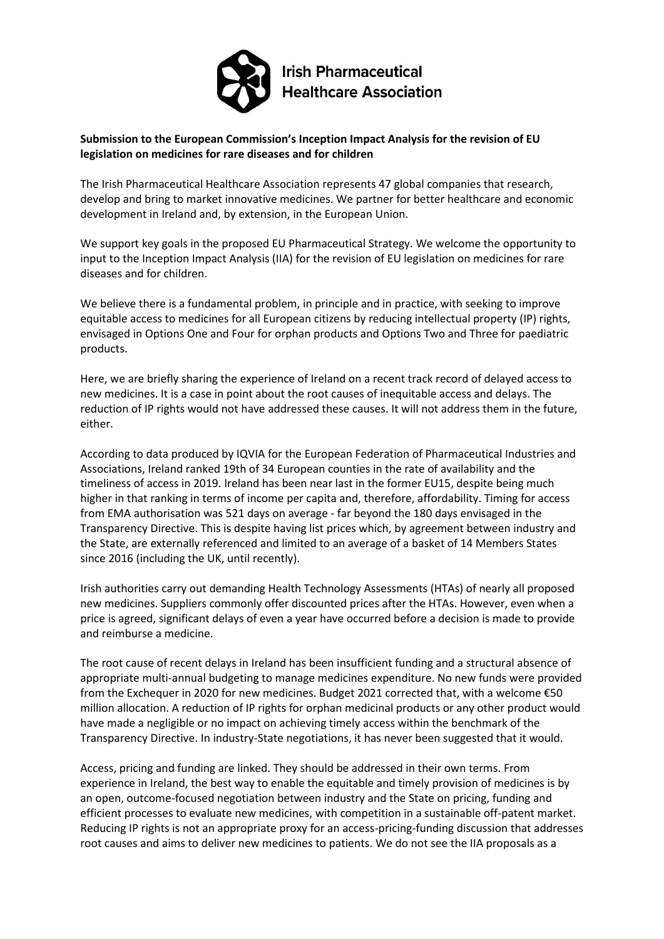

## **Submission to the European Commission's Inception Impact Analysis for the revision of EU legislation on medicines for rare diseases and for children**

The Irish Pharmaceutical Healthcare Association represents 47 global companies that research, develop and bring to market innovative medicines. We partner for better healthcare and economic development in Ireland and, by extension, in the European Union.

We support key goals in the proposed EU Pharmaceutical Strategy. We welcome the opportunity to input to the Inception Impact Analysis (IIA) for the revision of EU legislation on medicines for rare diseases and for children.

We believe there is a fundamental problem, in principle and in practice, with seeking to improve equitable access to medicines for all European citizens by reducing intellectual property (IP) rights, envisaged in Options One and Four for orphan products and Options Two and Three for paediatric products.

Here, we are briefly sharing the experience of Ireland on a recent track record of delayed access to new medicines. It is a case in point about the root causes of inequitable access and delays. The reduction of IP rights would not have addressed these causes. It will not address them in the future, either.

According to data produced by IQVIA for the European Federation of Pharmaceutical Industries and Associations, Ireland ranked 19th of 34 European counties in the rate of availability and the timeliness of access in 2019. Ireland has been near last in the former EU15, despite being much higher in that ranking in terms of income per capita and, therefore, affordability. Timing for access from EMA authorisation was 521 days on average - far beyond the 180 days envisaged in the Transparency Directive. This is despite having list prices which, by agreement between industry and the State, are externally referenced and limited to an average of a basket of 14 Members States since 2016 (including the UK, until recently).

Irish authorities carry out demanding Health Technology Assessments (HTAs) of nearly all proposed new medicines. Suppliers commonly offer discounted prices after the HTAs. However, even when a price is agreed, significant delays of even a year have occurred before a decision is made to provide and reimburse a medicine.

The root cause of recent delays in Ireland has been insufficient funding and a structural absence of appropriate multi-annual budgeting to manage medicines expenditure. No new funds were provided from the Exchequer in 2020 for new medicines. Budget 2021 corrected that, with a welcome €50 million allocation. A reduction of IP rights for orphan medicinal products or any other product would have made a negligible or no impact on achieving timely access within the benchmark of the Transparency Directive. In industry-State negotiations, it has never been suggested that it would.

Access, pricing and funding are linked. They should be addressed in their own terms. From experience in Ireland, the best way to enable the equitable and timely provision of medicines is by an open, outcome-focused negotiation between industry and the State on pricing, funding and efficient processes to evaluate new medicines, with competition in a sustainable off-patent market. Reducing IP rights is not an appropriate proxy for an access-pricing-funding discussion that addresses root causes and aims to deliver new medicines to patients. We do not see the IIA proposals as a